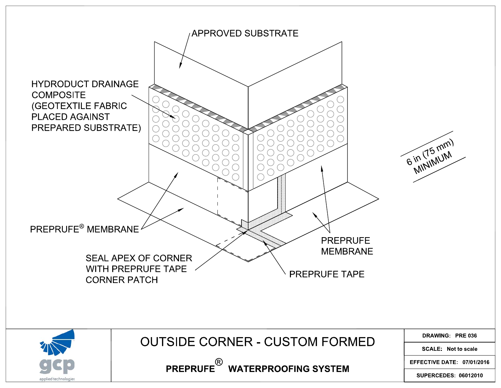